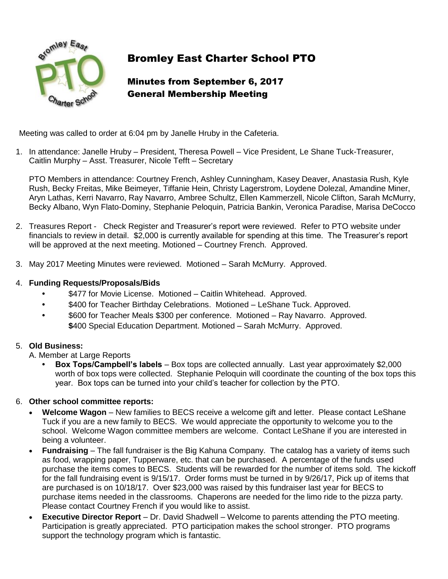

# Bromley East Charter School PTO

## Minutes from September 6, 2017 General Membership Meeting

Meeting was called to order at 6:04 pm by Janelle Hruby in the Cafeteria.

1. In attendance: Janelle Hruby – President, Theresa Powell – Vice President, Le Shane Tuck-Treasurer, Caitlin Murphy – Asst. Treasurer, Nicole Tefft – Secretary

PTO Members in attendance: Courtney French, Ashley Cunningham, Kasey Deaver, Anastasia Rush, Kyle Rush, Becky Freitas, Mike Beimeyer, Tiffanie Hein, Christy Lagerstrom, Loydene Dolezal, Amandine Miner, Aryn Lathas, Kerri Navarro, Ray Navarro, Ambree Schultz, Ellen Kammerzell, Nicole Clifton, Sarah McMurry, Becky Albano, Wyn Flato-Dominy, Stephanie Peloquin, Patricia Bankin, Veronica Paradise, Marisa DeCocco

- 2. Treasures Report Check Register and Treasurer's report were reviewed. Refer to PTO website under financials to review in detail. \$2,000 is currently available for spending at this time. The Treasurer's report will be approved at the next meeting. Motioned – Courtney French. Approved.
- 3. May 2017 Meeting Minutes were reviewed. Motioned Sarah McMurry. Approved.

#### 4. **Funding Requests/Proposals/Bids**

- **•** \$477 for Movie License. Motioned Caitlin Whitehead. Approved.
- **•** \$400 for Teacher Birthday Celebrations. Motioned LeShane Tuck. Approved.
- **•** \$600 for Teacher Meals \$300 per conference. Motioned Ray Navarro. Approved. **\$**400 Special Education Department. Motioned – Sarah McMurry. Approved.

#### 5. **Old Business:**

A. Member at Large Reports

**• Box Tops/Campbell's labels** – Box tops are collected annually. Last year approximately \$2,000 worth of box tops were collected. Stephanie Peloquin will coordinate the counting of the box tops this year. Box tops can be turned into your child's teacher for collection by the PTO.

#### 6. **Other school committee reports:**

- **Welcome Wagon** New families to BECS receive a welcome gift and letter. Please contact LeShane Tuck if you are a new family to BECS. We would appreciate the opportunity to welcome you to the school. Welcome Wagon committee members are welcome. Contact LeShane if you are interested in being a volunteer.
- **Fundraising**  The fall fundraiser is the Big Kahuna Company. The catalog has a variety of items such as food, wrapping paper, Tupperware, etc. that can be purchased. A percentage of the funds used purchase the items comes to BECS. Students will be rewarded for the number of items sold. The kickoff for the fall fundraising event is 9/15/17. Order forms must be turned in by 9/26/17, Pick up of items that are purchased is on 10/18/17. Over \$23,000 was raised by this fundraiser last year for BECS to purchase items needed in the classrooms. Chaperons are needed for the limo ride to the pizza party. Please contact Courtney French if you would like to assist.
- **Executive Director Report** Dr. David Shadwell Welcome to parents attending the PTO meeting. Participation is greatly appreciated. PTO participation makes the school stronger. PTO programs support the technology program which is fantastic.